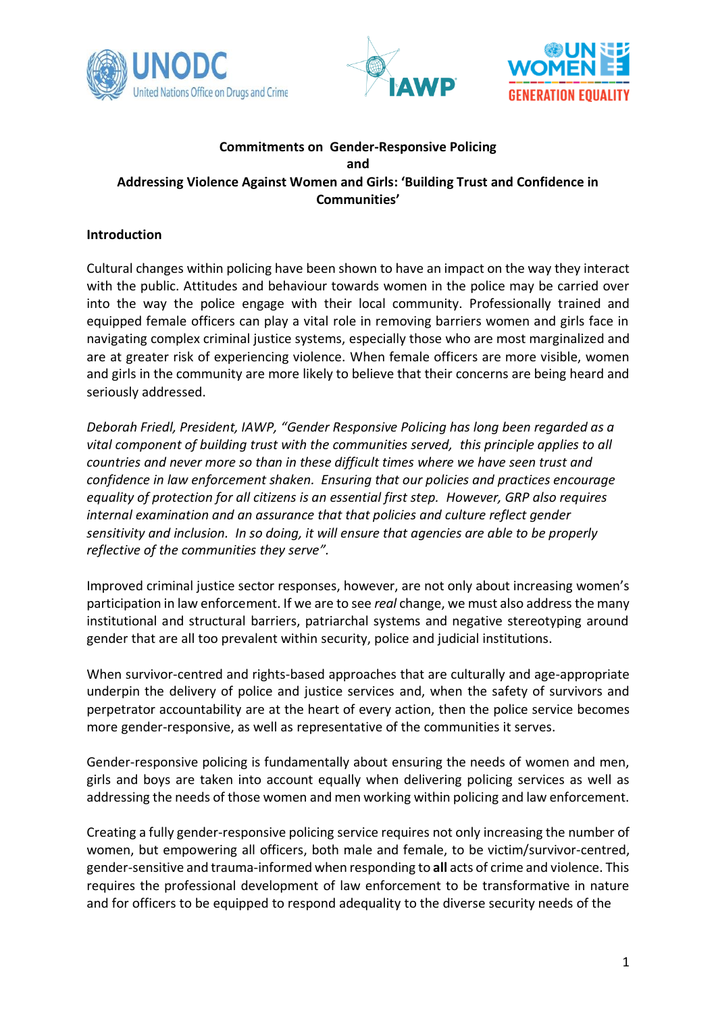





## **Commitments on Gender-Responsive Policing and Addressing Violence Against Women and Girls: 'Building Trust and Confidence in Communities'**

## **Introduction**

Cultural changes within policing have been shown to have an impact on the way they interact with the public. Attitudes and behaviour towards women in the police may be carried over into the way the police engage with their local community. Professionally trained and equipped female officers can play a vital role in removing barriers women and girls face in navigating complex criminal justice systems, especially those who are most marginalized and are at greater risk of experiencing violence. When female officers are more visible, women and girls in the community are more likely to believe that their concerns are being heard and seriously addressed.

*Deborah Friedl, President, IAWP, "Gender Responsive Policing has long been regarded as a vital component of building trust with the communities served, this principle applies to all countries and never more so than in these difficult times where we have seen trust and confidence in law enforcement shaken. Ensuring that our policies and practices encourage equality of protection for all citizens is an essential first step. However, GRP also requires internal examination and an assurance that that policies and culture reflect gender sensitivity and inclusion. In so doing, it will ensure that agencies are able to be properly reflective of the communities they serve".*

Improved criminal justice sector responses, however, are not only about increasing women's participation in law enforcement. If we are to see *real* change, we must also address the many institutional and structural barriers, patriarchal systems and negative stereotyping around gender that are all too prevalent within security, police and judicial institutions.

When survivor-centred and rights-based approaches that are culturally and age-appropriate underpin the delivery of police and justice services and, when the safety of survivors and perpetrator accountability are at the heart of every action, then the police service becomes more gender-responsive, as well as representative of the communities it serves.

Gender-responsive policing is fundamentally about ensuring the needs of women and men, girls and boys are taken into account equally when delivering policing services as well as addressing the needs of those women and men working within policing and law enforcement.

Creating a fully gender-responsive policing service requires not only increasing the number of women, but empowering all officers, both male and female, to be victim/survivor-centred, gender-sensitive and trauma-informed when responding to **all** acts of crime and violence. This requires the professional development of law enforcement to be transformative in nature and for officers to be equipped to respond adequality to the diverse security needs of the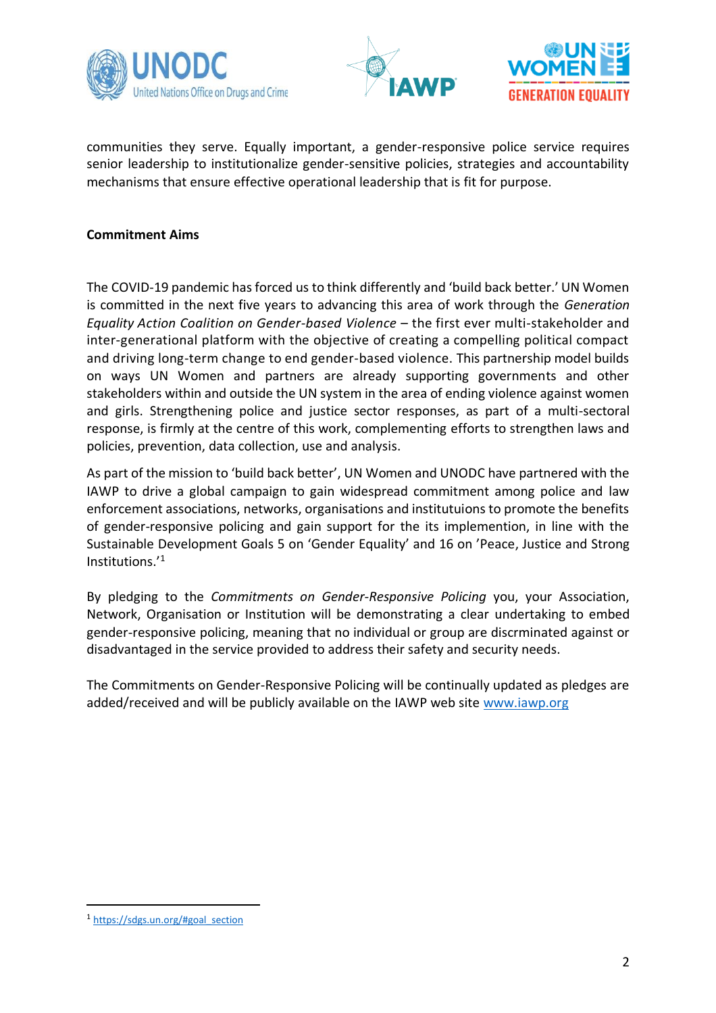





communities they serve. Equally important, a gender-responsive police service requires senior leadership to institutionalize gender-sensitive policies, strategies and accountability mechanisms that ensure effective operational leadership that is fit for purpose.

## **Commitment Aims**

The COVID-19 pandemic has forced us to think differently and 'build back better.' UN Women is committed in the next five years to advancing this area of work through the *Generation Equality Action Coalition on Gender-based Violence* – the first ever multi-stakeholder and inter-generational platform with the objective of creating a compelling political compact and driving long-term change to end gender-based violence. This partnership model builds on ways UN Women and partners are already supporting governments and other stakeholders within and outside the UN system in the area of ending violence against women and girls. Strengthening police and justice sector responses, as part of a multi-sectoral response, is firmly at the centre of this work, complementing efforts to strengthen laws and policies, prevention, data collection, use and analysis.

As part of the mission to 'build back better', UN Women and UNODC have partnered with the IAWP to drive a global campaign to gain widespread commitment among police and law enforcement associations, networks, organisations and institutuions to promote the benefits of gender-responsive policing and gain support for the its implemention, in line with the Sustainable Development Goals 5 on 'Gender Equality' and 16 on 'Peace, Justice and Strong Institutions.'<sup>1</sup>

By pledging to the *Commitments on Gender-Responsive Policing* you, your Association, Network, Organisation or Institution will be demonstrating a clear undertaking to embed gender-responsive policing, meaning that no individual or group are discrminated against or disadvantaged in the service provided to address their safety and security needs.

The Commitments on Gender-Responsive Policing will be continually updated as pledges are added/received and will be publicly available on the IAWP web site [www.iawp.org](http://www.iawp.org/)

<sup>1</sup> [https://sdgs.un.org/#goal\\_section](https://sdgs.un.org/#goal_section)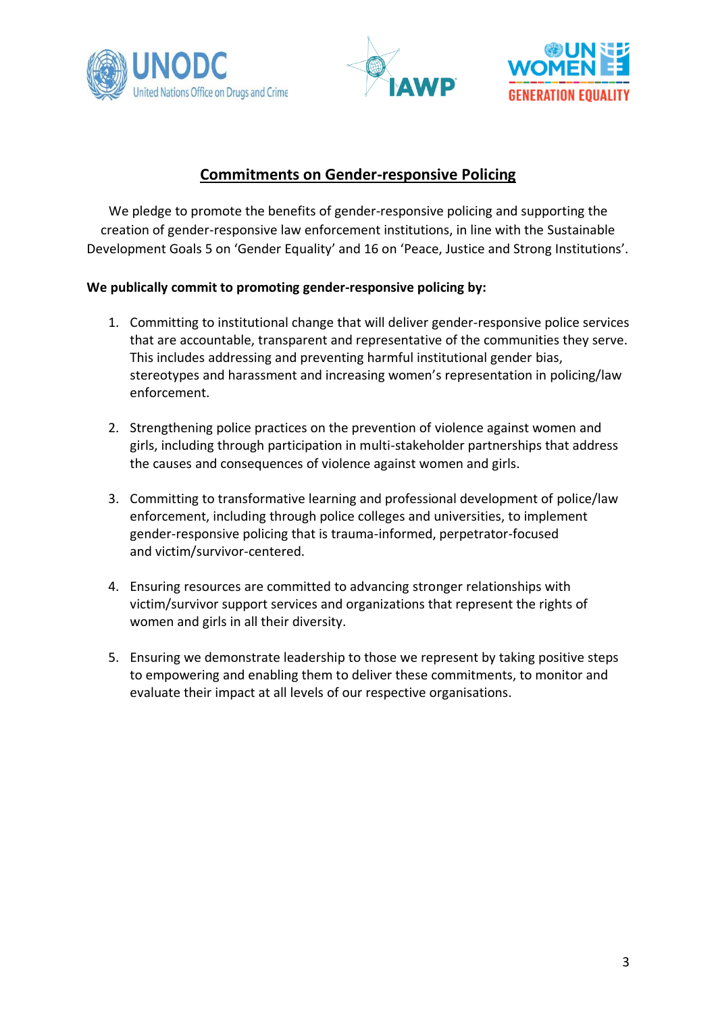





# **Commitments on Gender-responsive Policing**

We pledge to promote the benefits of gender-responsive policing and supporting the creation of gender-responsive law enforcement institutions, in line with the Sustainable Development Goals 5 on 'Gender Equality' and 16 on 'Peace, Justice and Strong Institutions'.

## **We publically commit to promoting gender-responsive policing by:**

- 1. Committing to institutional change that will deliver gender-responsive police services that are accountable, transparent and representative of the communities they serve. This includes addressing and preventing harmful institutional gender bias, stereotypes and harassment and increasing women's representation in policing/law enforcement.
- 2. Strengthening police practices on the prevention of violence against women and girls, including through participation in multi-stakeholder partnerships that address the causes and consequences of violence against women and girls.
- 3. Committing to transformative learning and professional development of police/law enforcement, including through police colleges and universities, to implement gender-responsive policing that is trauma-informed, perpetrator-focused and victim/survivor-centered.
- 4. Ensuring resources are committed to advancing stronger relationships with victim/survivor support services and organizations that represent the rights of women and girls in all their diversity.
- 5. Ensuring we demonstrate leadership to those we represent by taking positive steps to empowering and enabling them to deliver these commitments, to monitor and evaluate their impact at all levels of our respective organisations.